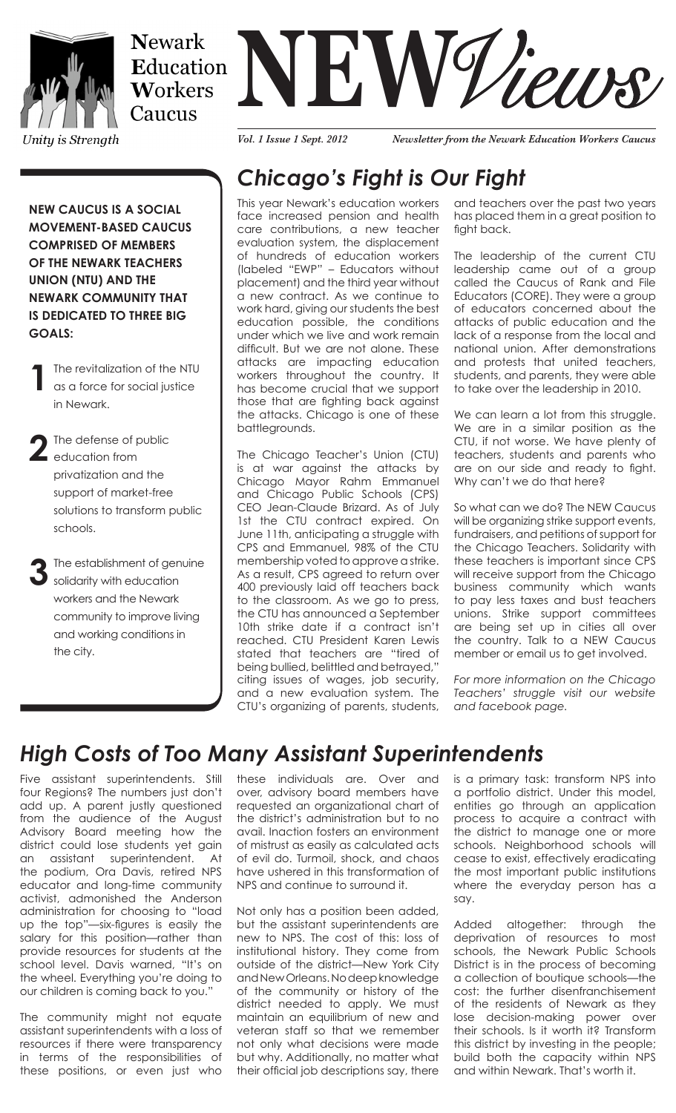

Caucus

Unity is Strength

# **NEWARK**<br> **NEW WORKERS**<br> **NEW WORKERS**

*Vol. 1 Issue 1 Sept. 2012 Newsletter from the Newark Education Workers Caucus*

**NEW CAUCUS IS A SOCIAL MOVEMENT-BASED CAUCUS COMPRISED OF MEMBERS OF THE NEWARK TEACHERS UNION (NTU) AND THE NEWARK COMMUNITY THAT IS DEDICATED TO THREE BIG GOALS:**

**1**The revitalization of the NTU as a force for social justice in Newark.

**2**The defense of public education from privatization and the support of market-free solutions to transform public schools.

**3**The establishment of genuine solidarity with education workers and the Newark community to improve living and working conditions in the city.

## *Chicago's Fight is Our Fight*

This year Newark's education workers face increased pension and health care contributions, a new teacher evaluation system, the displacement of hundreds of education workers (labeled "EWP" – Educators without placement) and the third year without a new contract. As we continue to work hard, giving our students the best education possible, the conditions under which we live and work remain difficult. But we are not alone. These attacks are impacting education workers throughout the country. It has become crucial that we support those that are fighting back against the attacks. Chicago is one of these battlegrounds.

The Chicago Teacher's Union (CTU) is at war against the attacks by Chicago Mayor Rahm Emmanuel and Chicago Public Schools (CPS) CEO Jean-Claude Brizard. As of July 1st the CTU contract expired. On June 11th, anticipating a struggle with CPS and Emmanuel, 98% of the CTU membership voted to approve a strike. As a result, CPS agreed to return over 400 previously laid off teachers back to the classroom. As we go to press, the CTU has announced a September 10th strike date if a contract isn't reached. CTU President Karen Lewis stated that teachers are "tired of being bullied, belittled and betrayed," citing issues of wages, job security, and a new evaluation system. The CTU's organizing of parents, students, and teachers over the past two years has placed them in a great position to fight back.

The leadership of the current CTU leadership came out of a group called the Caucus of Rank and File Educators (CORE). They were a group of educators concerned about the attacks of public education and the lack of a response from the local and national union. After demonstrations and protests that united teachers, students, and parents, they were able to take over the leadership in 2010.

We can learn a lot from this struggle. We are in a similar position as the CTU, if not worse. We have plenty of teachers, students and parents who are on our side and ready to fight. Why can't we do that here?

So what can we do? The NEW Caucus will be organizing strike support events, fundraisers, and petitions of support for the Chicago Teachers. Solidarity with these teachers is important since CPS will receive support from the Chicago business community which wants to pay less taxes and bust teachers unions. Strike support committees are being set up in cities all over the country. Talk to a NEW Caucus member or email us to get involved.

*For more information on the Chicago Teachers' struggle visit our website and facebook page.*

## *High Costs of Too Many Assistant Superintendents*

Five assistant superintendents. Still four Regions? The numbers just don't add up. A parent justly questioned from the audience of the August Advisory Board meeting how the district could lose students yet gain an assistant superintendent. At the podium, Ora Davis, retired NPS educator and long-time community activist, admonished the Anderson administration for choosing to "load up the top"—six-figures is easily the salary for this position—rather than provide resources for students at the school level. Davis warned, "It's on the wheel. Everything you're doing to our children is coming back to you."

The community might not equate assistant superintendents with a loss of resources if there were transparency in terms of the responsibilities of these positions, or even just who

these individuals are. Over and over, advisory board members have requested an organizational chart of the district's administration but to no avail. Inaction fosters an environment of mistrust as easily as calculated acts of evil do. Turmoil, shock, and chaos have ushered in this transformation of NPS and continue to surround it.

Not only has a position been added, but the assistant superintendents are new to NPS. The cost of this: loss of institutional history. They come from outside of the district—New York City and New Orleans. No deep knowledge of the community or history of the district needed to apply. We must maintain an equilibrium of new and veteran staff so that we remember not only what decisions were made but why. Additionally, no matter what their official job descriptions say, there

is a primary task: transform NPS into a portfolio district. Under this model, entities go through an application process to acquire a contract with the district to manage one or more schools. Neighborhood schools will cease to exist, effectively eradicating the most important public institutions where the everyday person has a say.

Added altogether: through the deprivation of resources to most schools, the Newark Public Schools District is in the process of becoming a collection of boutique schools—the cost: the further disenfranchisement of the residents of Newark as they lose decision-making power over their schools. Is it worth it? Transform this district by investing in the people; build both the capacity within NPS and within Newark. That's worth it.